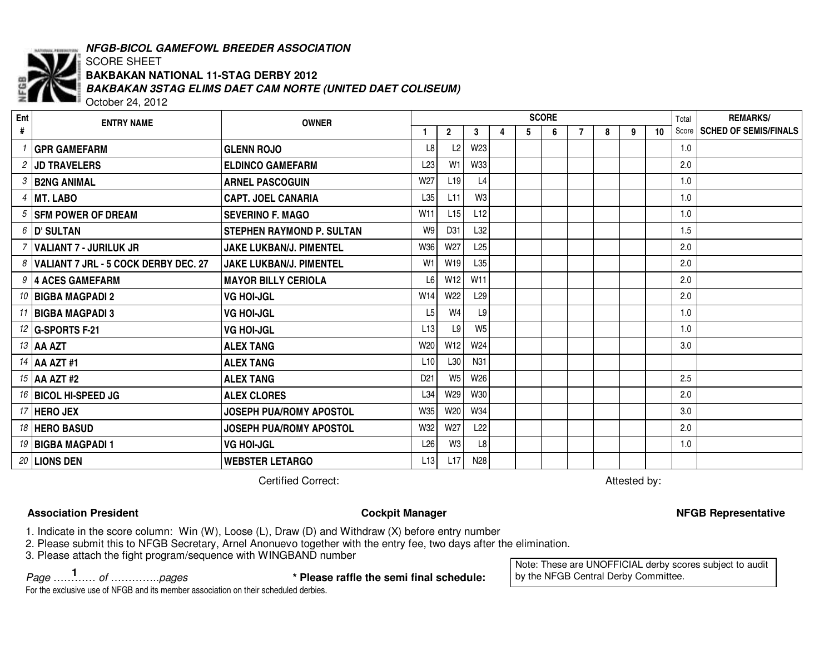

# *NFGB-BICOL GAMEFOWL BREEDER ASSOCIATION*

#### SCORE SHEET *BAKBAKAN 3STAG ELIMS DAET CAM NORTE (UNITED DAET COLISEUM)* **BAKBAKAN NATIONAL 11-STAG DERBY 2012**

October 24, 2012

| Ent | <b>ENTRY NAME</b>                      | <b>OWNER</b>                     |                     | <b>SCORE</b>        |                 |   |    |   |   |   |   |    |     | <b>REMARKS/</b>               |
|-----|----------------------------------------|----------------------------------|---------------------|---------------------|-----------------|---|----|---|---|---|---|----|-----|-------------------------------|
| #   |                                        |                                  |                     | $\overline{2}$      | 3               | 4 | 5. | 6 | 7 | 8 | 9 | 10 |     | Score   SCHED OF SEMIS/FINALS |
|     | <b>GPR GAMEFARM</b>                    | <b>GLENN ROJO</b>                | $\lfloor 8 \rfloor$ | $\lfloor 2 \rfloor$ | W <sub>23</sub> |   |    |   |   |   |   |    | 1.0 |                               |
|     | 2 JD TRAVELERS                         | <b>ELDINCO GAMEFARM</b>          | L23                 | W <sub>1</sub>      | W33             |   |    |   |   |   |   |    | 2.0 |                               |
|     | 3 B2NG ANIMAL                          | <b>ARNEL PASCOGUIN</b>           | W27                 | L19                 | L <sub>4</sub>  |   |    |   |   |   |   |    | 1.0 |                               |
|     | $4$   MT. LABO                         | <b>CAPT. JOEL CANARIA</b>        | L35                 | L11                 | W <sub>3</sub>  |   |    |   |   |   |   |    | 1.0 |                               |
|     | 5 SFM POWER OF DREAM                   | <b>SEVERINO F. MAGO</b>          | W11                 | L15                 | L12             |   |    |   |   |   |   |    | 1.0 |                               |
|     | $6$  D' SULTAN                         | <b>STEPHEN RAYMOND P. SULTAN</b> | W9                  | D31                 | L32             |   |    |   |   |   |   |    | 1.5 |                               |
|     | '   VALIANT 7 - JURILUK JR             | JAKE LUKBAN/J. PIMENTEL          | W36                 | W27                 | L25             |   |    |   |   |   |   |    | 2.0 |                               |
|     | 8 VALIANT 7 JRL - 5 COCK DERBY DEC. 27 | JAKE LUKBAN/J. PIMENTEL          | W <sub>1</sub>      | W19                 | L35             |   |    |   |   |   |   |    | 2.0 |                               |
|     | 9 4 ACES GAMEFARM                      | <b>MAYOR BILLY CERIOLA</b>       | L <sub>6</sub>      | W12                 | W <sub>11</sub> |   |    |   |   |   |   |    | 2.0 |                               |
|     | 10   BIGBA MAGPADI 2                   | <b>VG HOI-JGL</b>                | W14                 | W22                 | L29             |   |    |   |   |   |   |    | 2.0 |                               |
|     | 11 BIGBA MAGPADI 3                     | <b>VG HOI-JGL</b>                | L <sub>5</sub>      | W4                  | L9              |   |    |   |   |   |   |    | 1.0 |                               |
|     | 12 G-SPORTS F-21                       | <b>VG HOI-JGL</b>                | L13                 | L9                  | W <sub>5</sub>  |   |    |   |   |   |   |    | 1.0 |                               |
|     | 13 AA AZT                              | <b>ALEX TANG</b>                 | W20                 | W12                 | W24             |   |    |   |   |   |   |    | 3.0 |                               |
|     | $14$ AA AZT #1                         | <b>ALEX TANG</b>                 | L10                 | L30                 | N31             |   |    |   |   |   |   |    |     |                               |
|     | $15$ AA AZT #2                         | <b>ALEX TANG</b>                 | D <sub>21</sub>     | $W_5$               | W26             |   |    |   |   |   |   |    | 2.5 |                               |
|     | 16 BICOL HI-SPEED JG                   | <b>ALEX CLORES</b>               | L34                 | W29                 | W30             |   |    |   |   |   |   |    | 2.0 |                               |
|     | $17$ HERO JEX                          | <b>JOSEPH PUA/ROMY APOSTOL</b>   | W35                 | W20                 | W34             |   |    |   |   |   |   |    | 3.0 |                               |
|     | 18 HERO BASUD                          | <b>JOSEPH PUA/ROMY APOSTOL</b>   | W32                 | W27                 | L22             |   |    |   |   |   |   |    | 2.0 |                               |
|     | 19 BIGBA MAGPADI 1                     | <b>VG HOI-JGL</b>                | L26                 | W <sub>3</sub>      | L8              |   |    |   |   |   |   |    | 1.0 |                               |
|     | 20 LIONS DEN                           | <b>WEBSTER LETARGO</b>           | L13                 | L17                 | N <sub>28</sub> |   |    |   |   |   |   |    |     |                               |

**Certified Correct:** 

Attested by:

Note: These are UNOFFICIAL derby scores subject to audit

by the NFGB Central Derby Committee.

# **Association**

**Properties Accept Accept Accept Accept Accept Accept Accept Accept Accept Accept Accept Accept Accept Accept Accept Accept Accept Accept Accept Accept Accept Accept Accept Accept Accept Accept Accept Accept Accept Accept** 

1. Indicate in the score column: Win (W), Loose (L), Draw (D) and Withdraw (X) before entry number

2. Please submit this to NFGB Secretary, Arnel Anonuevo together with the entry fee, two days after the elimination.

3. Please attach the fight program/sequence with WINGBAND number

*Page ………… of …………..pages* **\* Please raffle the semi final schedule: <sup>1</sup>**

For the exclusive use of NFGB and its member association on their scheduled derbies.